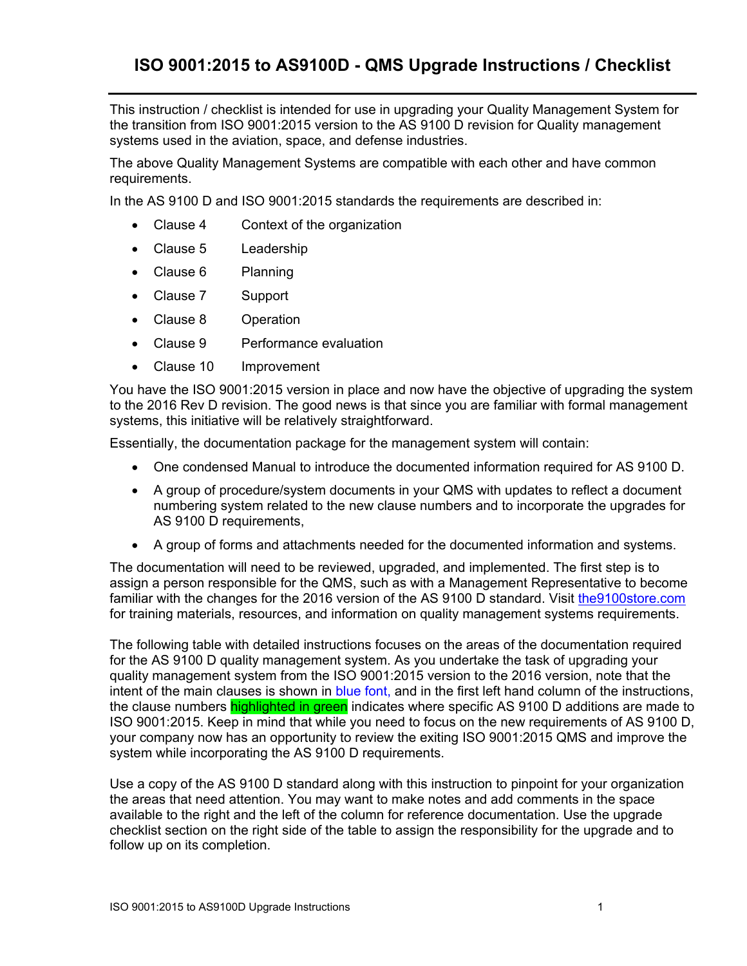This instruction / checklist is intended for use in upgrading your Quality Management System for the transition from ISO 9001:2015 version to the AS 9100 D revision for Quality management systems used in the aviation, space, and defense industries.

The above Quality Management Systems are compatible with each other and have common requirements.

In the AS 9100 D and ISO 9001:2015 standards the requirements are described in:

- Clause 4 Context of the organization
- Clause 5 Leadership
- Clause 6 Planning
- Clause 7 Support
- Clause 8 Operation
- Clause 9 Performance evaluation
- Clause 10 Improvement

You have the ISO 9001:2015 version in place and now have the objective of upgrading the system to the 2016 Rev D revision. The good news is that since you are familiar with formal management systems, this initiative will be relatively straightforward.

Essentially, the documentation package for the management system will contain:

- One condensed Manual to introduce the documented information required for AS 9100 D.
- A group of procedure/system documents in your QMS with updates to reflect a document numbering system related to the new clause numbers and to incorporate the upgrades for AS 9100 D requirements,
- A group of forms and attachments needed for the documented information and systems.

The documentation will need to be reviewed, upgraded, and implemented. The first step is to assign a person responsible for the QMS, such as with a Management Representative to become familiar with the changes for the 2016 version of the AS 9100 D standard. Visit the 9100 store.com for training materials, resources, and information on quality management systems requirements.

The following table with detailed instructions focuses on the areas of the documentation required for the AS 9100 D quality management system. As you undertake the task of upgrading your quality management system from the ISO 9001:2015 version to the 2016 version, note that the intent of the main clauses is shown in blue font, and in the first left hand column of the instructions, the clause numbers highlighted in green indicates where specific AS 9100 D additions are made to ISO 9001:2015. Keep in mind that while you need to focus on the new requirements of AS 9100 D, your company now has an opportunity to review the exiting ISO 9001:2015 QMS and improve the system while incorporating the AS 9100 D requirements.

Use a copy of the AS 9100 D standard along with this instruction to pinpoint for your organization the areas that need attention. You may want to make notes and add comments in the space available to the right and the left of the column for reference documentation. Use the upgrade checklist section on the right side of the table to assign the responsibility for the upgrade and to follow up on its completion.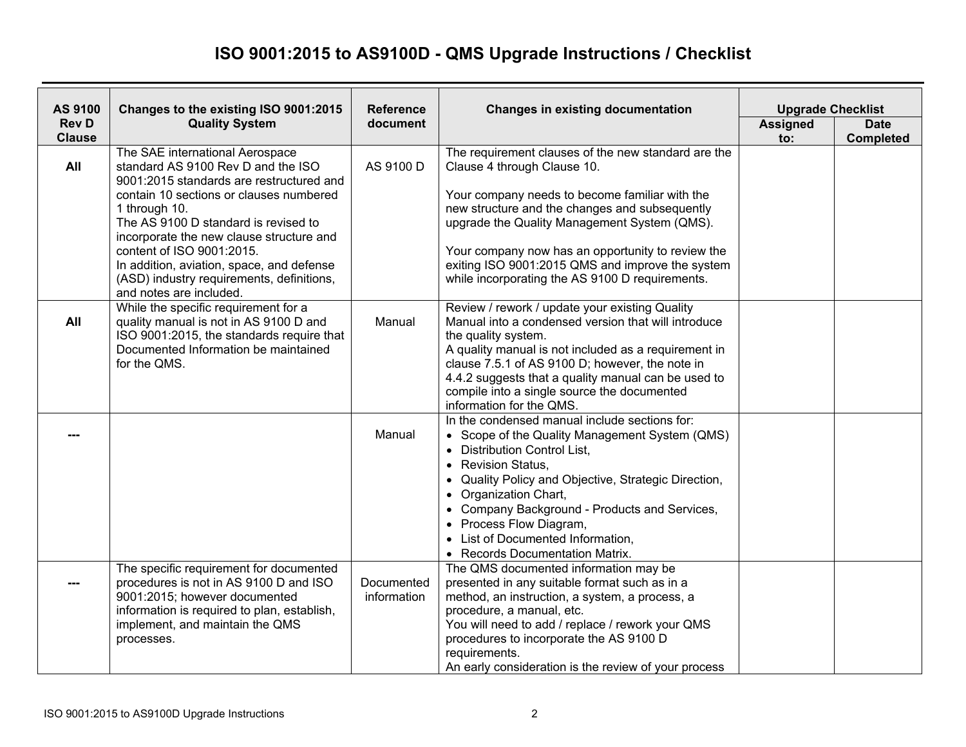## **ISO 9001:2015 to AS9100D - QMS Upgrade Instructions / Checklist**

| AS 9100                       | Changes to the existing ISO 9001:2015                                                                                                                                                                                                                                                                                                                                                                               | <b>Reference</b>          | <b>Changes in existing documentation</b>                                                                                                                                                                                                                                                                                                                                                                                         | <b>Upgrade Checklist</b> |                                 |
|-------------------------------|---------------------------------------------------------------------------------------------------------------------------------------------------------------------------------------------------------------------------------------------------------------------------------------------------------------------------------------------------------------------------------------------------------------------|---------------------------|----------------------------------------------------------------------------------------------------------------------------------------------------------------------------------------------------------------------------------------------------------------------------------------------------------------------------------------------------------------------------------------------------------------------------------|--------------------------|---------------------------------|
| <b>Rev D</b><br><b>Clause</b> | <b>Quality System</b>                                                                                                                                                                                                                                                                                                                                                                                               | document                  |                                                                                                                                                                                                                                                                                                                                                                                                                                  | <b>Assigned</b><br>to:   | <b>Date</b><br><b>Completed</b> |
| All                           | The SAE international Aerospace<br>standard AS 9100 Rev D and the ISO<br>9001:2015 standards are restructured and<br>contain 10 sections or clauses numbered<br>1 through 10.<br>The AS 9100 D standard is revised to<br>incorporate the new clause structure and<br>content of ISO 9001:2015.<br>In addition, aviation, space, and defense<br>(ASD) industry requirements, definitions,<br>and notes are included. | AS 9100 D                 | The requirement clauses of the new standard are the<br>Clause 4 through Clause 10.<br>Your company needs to become familiar with the<br>new structure and the changes and subsequently<br>upgrade the Quality Management System (QMS).<br>Your company now has an opportunity to review the<br>exiting ISO 9001:2015 QMS and improve the system<br>while incorporating the AS 9100 D requirements.                               |                          |                                 |
| All                           | While the specific requirement for a<br>quality manual is not in AS 9100 D and<br>ISO 9001:2015, the standards require that<br>Documented Information be maintained<br>for the QMS.                                                                                                                                                                                                                                 | Manual                    | Review / rework / update your existing Quality<br>Manual into a condensed version that will introduce<br>the quality system.<br>A quality manual is not included as a requirement in<br>clause 7.5.1 of AS 9100 D; however, the note in<br>4.4.2 suggests that a quality manual can be used to<br>compile into a single source the documented<br>information for the QMS.                                                        |                          |                                 |
|                               |                                                                                                                                                                                                                                                                                                                                                                                                                     | Manual                    | In the condensed manual include sections for:<br>• Scope of the Quality Management System (QMS)<br>• Distribution Control List,<br><b>Revision Status,</b><br>$\bullet$<br>Quality Policy and Objective, Strategic Direction,<br>Organization Chart,<br>$\bullet$<br>Company Background - Products and Services,<br>$\bullet$<br>• Process Flow Diagram,<br>• List of Documented Information,<br>• Records Documentation Matrix. |                          |                                 |
|                               | The specific requirement for documented<br>procedures is not in AS 9100 D and ISO<br>9001:2015; however documented<br>information is required to plan, establish,<br>implement, and maintain the QMS<br>processes.                                                                                                                                                                                                  | Documented<br>information | The QMS documented information may be<br>presented in any suitable format such as in a<br>method, an instruction, a system, a process, a<br>procedure, a manual, etc.<br>You will need to add / replace / rework your QMS<br>procedures to incorporate the AS 9100 D<br>requirements.<br>An early consideration is the review of your process                                                                                    |                          |                                 |